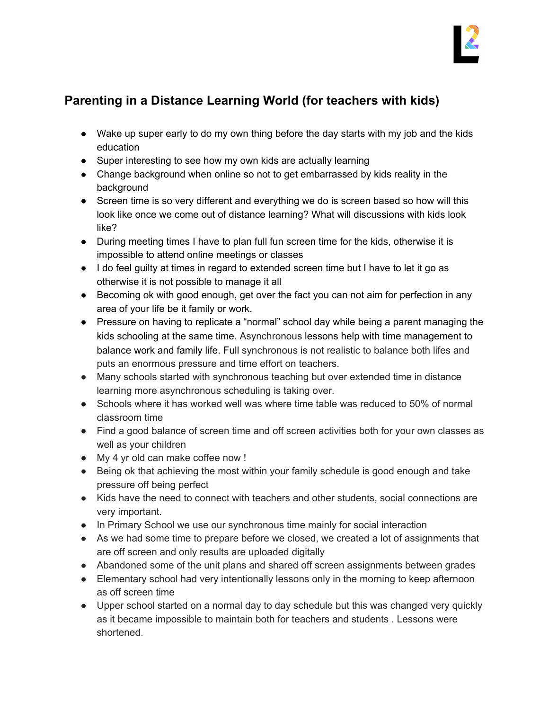

## **Parenting in a Distance Learning World (for teachers with kids)**

- Wake up super early to do my own thing before the day starts with my job and the kids education
- Super interesting to see how my own kids are actually learning
- Change background when online so not to get embarrassed by kids reality in the background
- Screen time is so very different and everything we do is screen based so how will this look like once we come out of distance learning? What will discussions with kids look like?
- During meeting times I have to plan full fun screen time for the kids, otherwise it is impossible to attend online meetings or classes
- I do feel guilty at times in regard to extended screen time but I have to let it go as otherwise it is not possible to manage it all
- Becoming ok with good enough, get over the fact you can not aim for perfection in any area of your life be it family or work.
- Pressure on having to replicate a "normal" school day while being a parent managing the kids schooling at the same time. Asynchronouslessons help with time management to balance work and family life. Full synchronous is not realistic to balance both lifes and puts an enormous pressure and time effort on teachers.
- Many schools started with synchronous teaching but over extended time in distance learning more asynchronous scheduling is taking over.
- Schools where it has worked well was where time table was reduced to 50% of normal classroom time
- Find a good balance of screen time and off screen activities both for your own classes as well as your children
- My 4 yr old can make coffee now !
- Being ok that achieving the most within your family schedule is good enough and take pressure off being perfect
- Kids have the need to connect with teachers and other students, social connections are very important.
- In Primary School we use our synchronous time mainly for social interaction
- As we had some time to prepare before we closed, we created a lot of assignments that are off screen and only results are uploaded digitally
- Abandoned some of the unit plans and shared off screen assignments between grades
- Elementary school had very intentionally lessons only in the morning to keep afternoon as off screen time
- Upper school started on a normal day to day schedule but this was changed very quickly as it became impossible to maintain both for teachers and students . Lessons were shortened.